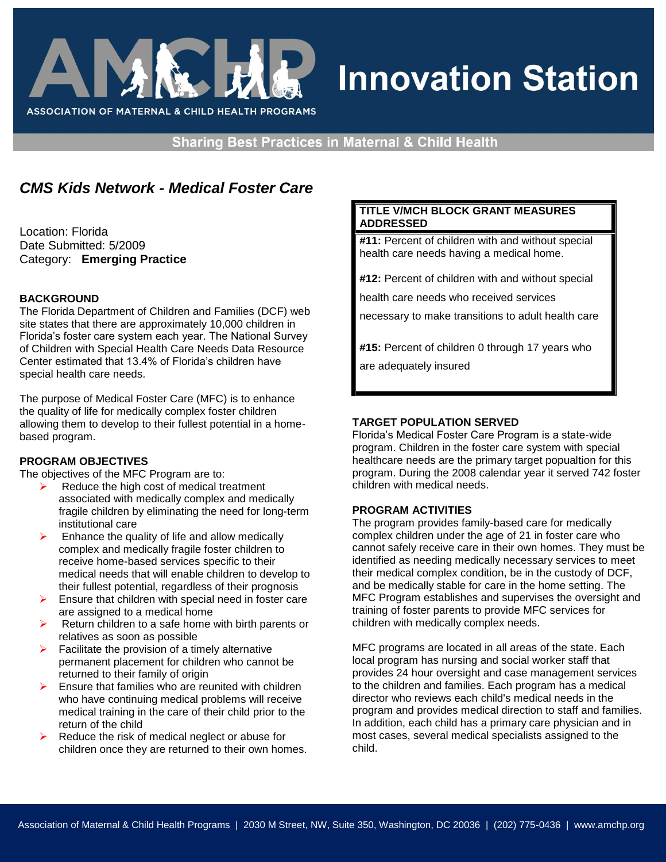

# **Innovation Station**

**Sharing Best Practices in Maternal & Child Health** 

# *CMS Kids Network - Medical Foster Care*

Location: Florida Date Submitted: 5/2009 Category: **Emerging Practice**

#### **BACKGROUND**

The Florida Department of Children and Families (DCF) web site states that there are approximately 10,000 children in Florida's foster care system each year. The National Survey of Children with Special Health Care Needs Data Resource Center estimated that 13.4% of Florida's children have special health care needs.

The purpose of Medical Foster Care (MFC) is to enhance the quality of life for medically complex foster children allowing them to develop to their fullest potential in a homebased program.

#### **PROGRAM OBJECTIVES**

The objectives of the MFC Program are to:

- $\triangleright$  Reduce the high cost of medical treatment associated with medically complex and medically fragile children by eliminating the need for long-term institutional care
- $\triangleright$  Enhance the quality of life and allow medically complex and medically fragile foster children to receive home-based services specific to their medical needs that will enable children to develop to their fullest potential, regardless of their prognosis
- $\triangleright$  Ensure that children with special need in foster care are assigned to a medical home
- Return children to a safe home with birth parents or relatives as soon as possible
- Facilitate the provision of a timely alternative permanent placement for children who cannot be returned to their family of origin
- $\triangleright$  Ensure that families who are reunited with children who have continuing medical problems will receive medical training in the care of their child prior to the return of the child
- $\triangleright$  Reduce the risk of medical neglect or abuse for children once they are returned to their own homes.

#### **TITLE V/MCH BLOCK GRANT MEASURES ADDRESSED**

**#11:** Percent of children with and without special health care needs having a medical home.

**#12:** Percent of children with and without special

health care needs who received services

necessary to make transitions to adult health care

**#15:** Percent of children 0 through 17 years who are adequately insured

**TARGET POPULATION SERVED**

Florida's Medical Foster Care Program is a state-wide program. Children in the foster care system with special healthcare needs are the primary target popualtion for this program. During the 2008 calendar year it served 742 foster children with medical needs.

#### **PROGRAM ACTIVITIES**

The program provides family-based care for medically complex children under the age of 21 in foster care who cannot safely receive care in their own homes. They must be identified as needing medically necessary services to meet their medical complex condition, be in the custody of DCF, and be medically stable for care in the home setting. The MFC Program establishes and supervises the oversight and training of foster parents to provide MFC services for children with medically complex needs.

MFC programs are located in all areas of the state. Each local program has nursing and social worker staff that provides 24 hour oversight and case management services to the children and families. Each program has a medical director who reviews each child's medical needs in the program and provides medical direction to staff and families. In addition, each child has a primary care physician and in most cases, several medical specialists assigned to the child.